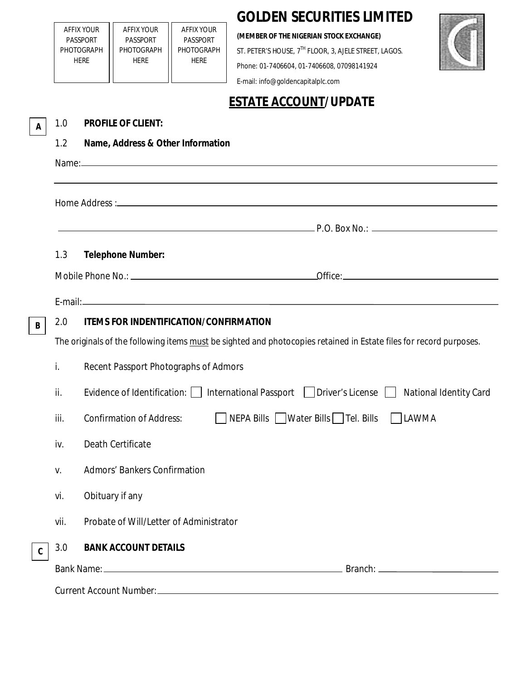| <b>GOLDEN SECURITIES LIMITED</b> |  |  |
|----------------------------------|--|--|
|----------------------------------|--|--|

**(MEMBER OF THE NIGERIAN STOCK EXCHANGE)**

ST. PETER'S HOUSE,  $7^{TH}$  FLOOR, 3, AJELE STREET, LAGOS.

Phone: 01-7406604, 01-7406608, 07098141924



E-mail: info@goldencapitalplc.com

AFFIX YOUR PASSPORT PHOTOGRAPH HERE

AFFIX YOUR PASSPORT PHOTOGRAPH HERE

AFFIX YOUR PASSPORT PHOTOGRAPH HERE

## **ESTATE ACCOUNT/UPDATE**

| A            | 1.0                                                                                                                | <b>PROFILE OF CLIENT:</b>                                                                                                 |  |  |  |
|--------------|--------------------------------------------------------------------------------------------------------------------|---------------------------------------------------------------------------------------------------------------------------|--|--|--|
|              | 1.2                                                                                                                | Name, Address & Other Information                                                                                         |  |  |  |
|              |                                                                                                                    |                                                                                                                           |  |  |  |
|              |                                                                                                                    |                                                                                                                           |  |  |  |
|              |                                                                                                                    |                                                                                                                           |  |  |  |
|              |                                                                                                                    | P.O. Box No.:                                                                                                             |  |  |  |
|              | 1.3                                                                                                                | <b>Telephone Number:</b>                                                                                                  |  |  |  |
|              |                                                                                                                    |                                                                                                                           |  |  |  |
|              |                                                                                                                    |                                                                                                                           |  |  |  |
|              | 2.0                                                                                                                | <b>ITEMS FOR INDENTIFICATION/CONFIRMATION</b>                                                                             |  |  |  |
| B            | The originals of the following items must be sighted and photocopies retained in Estate files for record purposes. |                                                                                                                           |  |  |  |
|              |                                                                                                                    |                                                                                                                           |  |  |  |
|              | İ.                                                                                                                 | Recent Passport Photographs of Admors                                                                                     |  |  |  |
|              | ii.                                                                                                                | Evidence of Identification: $\Box$ International Passport $\Box$ Driver's License $\Box$<br><b>National Identity Card</b> |  |  |  |
|              | iii.                                                                                                               | NEPA Bills Water Bills Tel. Bills<br><b>Confirmation of Address:</b><br>LAWMA                                             |  |  |  |
|              | iv.                                                                                                                | Death Certificate                                                                                                         |  |  |  |
|              | V.                                                                                                                 | <b>Admors' Bankers Confirmation</b>                                                                                       |  |  |  |
|              | vi.                                                                                                                | Obituary if any                                                                                                           |  |  |  |
|              | vii.                                                                                                               | Probate of Will/Letter of Administrator                                                                                   |  |  |  |
| $\mathbf{C}$ | 3.0                                                                                                                | <b>BANK ACCOUNT DETAILS</b>                                                                                               |  |  |  |
|              |                                                                                                                    |                                                                                                                           |  |  |  |
|              |                                                                                                                    |                                                                                                                           |  |  |  |